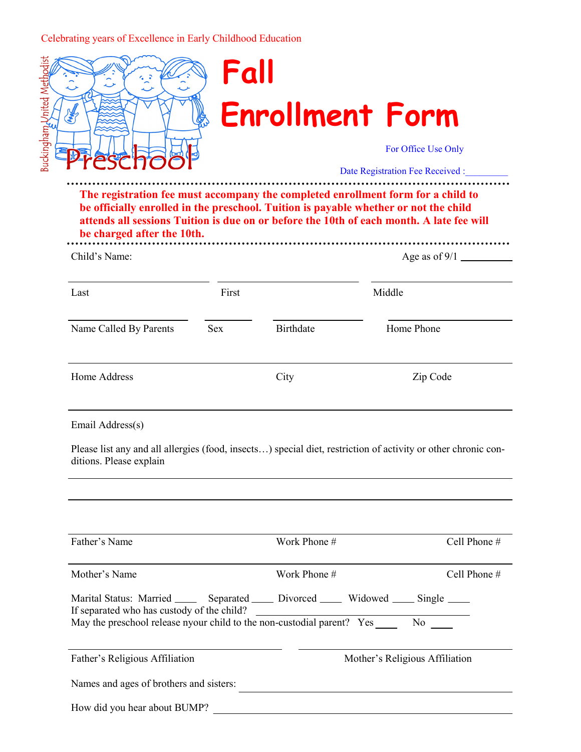## Celebrating years of Excellence in Early Childhood Education



## **Fall Enrollment Form**

For Office Use Only

Date Registration Fee Received :

**The registration fee must accompany the completed enrollment form for a child to be officially enrolled in the preschool. Tuition is payable whether or not the child attends all sessions Tuition is due on or before the 10th of each month. A late fee will be charged after the 10th.**  

| Child's Name:          |       |           |            |  |
|------------------------|-------|-----------|------------|--|
| Last                   | First |           | Middle     |  |
| Name Called By Parents | Sex   | Birthdate | Home Phone |  |
| Home Address           |       | City      | Zip Code   |  |

Email Address(s)

Please list any and all allergies (food, insects…) special diet, restriction of activity or other chronic conditions. Please explain

| Father's Name                                                                                                                                                                                                       | Work Phone # | Cell Phone $#$                 |  |
|---------------------------------------------------------------------------------------------------------------------------------------------------------------------------------------------------------------------|--------------|--------------------------------|--|
| Mother's Name                                                                                                                                                                                                       | Work Phone # | Cell Phone $#$                 |  |
| Marital Status: Married _______ Separated ______ Divorced ______ Widowed _____ Single _____<br>If separated who has custody of the child?<br>May the preschool release nyour child to the non-custodial parent? Yes |              | No No                          |  |
| Father's Religious Affiliation                                                                                                                                                                                      |              | Mother's Religious Affiliation |  |
| Names and ages of brothers and sisters:                                                                                                                                                                             |              |                                |  |
| How did you hear about BUMP?                                                                                                                                                                                        |              |                                |  |
|                                                                                                                                                                                                                     |              |                                |  |